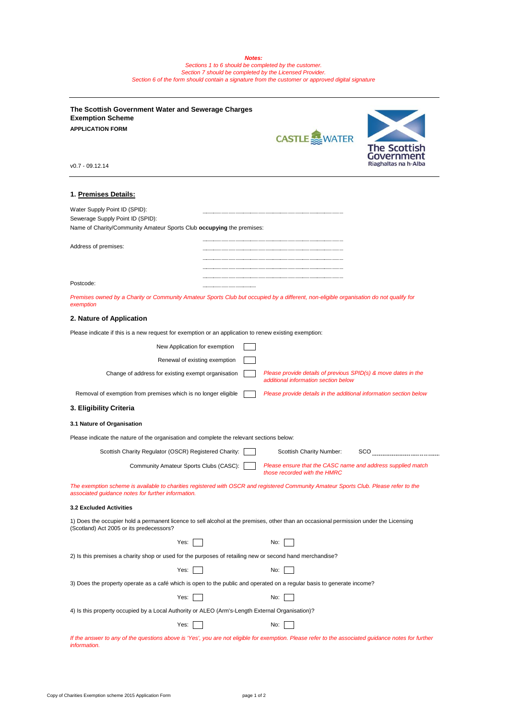*Sections 1 to 6 should be completed by the customer. Section 7 should be completed by the Licensed Provider. Section 6 of the form should contain a signature from the customer or approved digital signature* 

| The Scottish Government Water and Sewerage Charges<br><b>Exemption Scheme</b>                                                                                                               |  |                                                                                                        |                               |  |  |
|---------------------------------------------------------------------------------------------------------------------------------------------------------------------------------------------|--|--------------------------------------------------------------------------------------------------------|-------------------------------|--|--|
| <b>APPLICATION FORM</b>                                                                                                                                                                     |  | <b>CASTLE</b> WATER                                                                                    | <b>The Scottish</b><br>Govern |  |  |
| $v0.7 - 09.12.14$                                                                                                                                                                           |  |                                                                                                        | Riaghaltas na h               |  |  |
| 1. Premises Details:                                                                                                                                                                        |  |                                                                                                        |                               |  |  |
|                                                                                                                                                                                             |  |                                                                                                        |                               |  |  |
| Water Supply Point ID (SPID):<br>Sewerage Supply Point ID (SPID):<br>Name of Charity/Community Amateur Sports Club occupying the premises:                                                  |  |                                                                                                        |                               |  |  |
| Address of premises:                                                                                                                                                                        |  |                                                                                                        |                               |  |  |
|                                                                                                                                                                                             |  |                                                                                                        |                               |  |  |
|                                                                                                                                                                                             |  |                                                                                                        |                               |  |  |
| Postcode:                                                                                                                                                                                   |  |                                                                                                        |                               |  |  |
| Premises owned by a Charity or Community Amateur Sports Club but occupied by a different, non-eligible organisation do not qualify for<br>exemption                                         |  |                                                                                                        |                               |  |  |
| 2. Nature of Application                                                                                                                                                                    |  |                                                                                                        |                               |  |  |
| Please indicate if this is a new request for exemption or an application to renew existing exemption:                                                                                       |  |                                                                                                        |                               |  |  |
| New Application for exemption                                                                                                                                                               |  |                                                                                                        |                               |  |  |
| Renewal of existing exemption                                                                                                                                                               |  |                                                                                                        |                               |  |  |
| Change of address for existing exempt organisation                                                                                                                                          |  | Please provide details of previous SPID(s) & move dates in the<br>additional information section below |                               |  |  |
| Removal of exemption from premises which is no longer eligible<br>Please provide details in the additional information section below                                                        |  |                                                                                                        |                               |  |  |
| 3. Eligibility Criteria                                                                                                                                                                     |  |                                                                                                        |                               |  |  |
| 3.1 Nature of Organisation                                                                                                                                                                  |  |                                                                                                        |                               |  |  |
| Please indicate the nature of the organisation and complete the relevant sections below:                                                                                                    |  |                                                                                                        |                               |  |  |
| Scottish Charity Regulator (OSCR) Registered Charity:                                                                                                                                       |  | Scottish Charity Number:                                                                               | SCO                           |  |  |
| Community Amateur Sports Clubs (CASC):                                                                                                                                                      |  | Please ensure that the CASC name and address supplied match<br>those recorded with the HMRC            |                               |  |  |
| The exemption scheme is available to charities registered with OSCR and registered Community Amateur Sports Club. Please refer to the<br>associated guidance notes for further information. |  |                                                                                                        |                               |  |  |
| <b>3.2 Excluded Activities</b>                                                                                                                                                              |  |                                                                                                        |                               |  |  |
| 1) Does the occupier hold a permanent licence to sell alcohol at the premises, other than an occasional permission under the Licensing<br>(Scotland) Act 2005 or its predecessors?          |  |                                                                                                        |                               |  |  |
| Yes:                                                                                                                                                                                        |  | No:                                                                                                    |                               |  |  |
| 2) Is this premises a charity shop or used for the purposes of retailing new or second hand merchandise?                                                                                    |  |                                                                                                        |                               |  |  |
| Yes:                                                                                                                                                                                        |  | No:                                                                                                    |                               |  |  |
| 3) Does the property operate as a café which is open to the public and operated on a regular basis to generate income?                                                                      |  |                                                                                                        |                               |  |  |
| Yes:                                                                                                                                                                                        |  | No:                                                                                                    |                               |  |  |
| 4) Is this property occupied by a Local Authority or ALEO (Arm's-Length External Organisation)?                                                                                             |  |                                                                                                        |                               |  |  |
| Yes:                                                                                                                                                                                        |  | No:                                                                                                    |                               |  |  |
| If the answer to any of the questions above is 'Yes', you are not eligible for exemption. Please refer to the associated guidance notes for further<br>information.                         |  |                                                                                                        |                               |  |  |